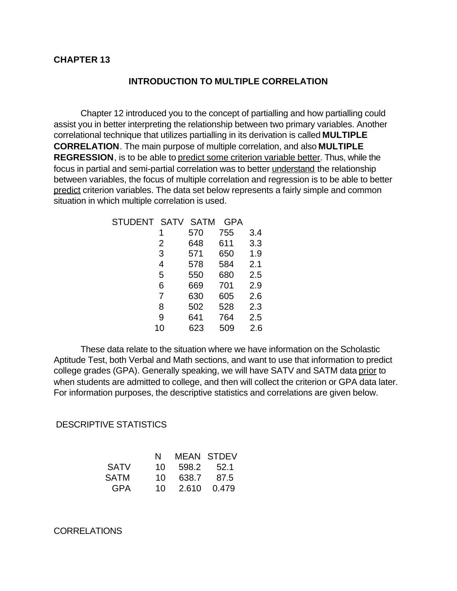### **INTRODUCTION TO MULTIPLE CORRELATION**

Chapter 12 introduced you to the concept of partialling and how partialling could assist you in better interpreting the relationship between two primary variables. Another correlational technique that utilizes partialling in its derivation is called **MULTIPLE CORRELATION**. The main purpose of multiple correlation, and also **MULTIPLE REGRESSION**, is to be able to predict some criterion variable better. Thus, while the focus in partial and semi-partial correlation was to better understand the relationship between variables, the focus of multiple correlation and regression is to be able to better predict criterion variables. The data set below represents a fairly simple and common situation in which multiple correlation is used.

| STUDENT SATV SATM |     | <b>GPA</b> |     |
|-------------------|-----|------------|-----|
|                   | 570 | 755        | 3.4 |
| 2                 | 648 | 611        | 3.3 |
| 3                 | 571 | 650        | 1.9 |
| 4                 | 578 | 584        | 2.1 |
| 5                 | 550 | 680        | 2.5 |
| 6                 | 669 | 701        | 2.9 |
| 7                 | 630 | 605        | 2.6 |
| 8                 | 502 | 528        | 2.3 |
| 9                 | 641 | 764        | 2.5 |
| 10                | 623 | 509        | 2.6 |

These data relate to the situation where we have information on the Scholastic Aptitude Test, both Verbal and Math sections, and want to use that information to predict college grades (GPA). Generally speaking, we will have SATV and SATM data prior to when students are admitted to college, and then will collect the criterion or GPA data later. For information purposes, the descriptive statistics and correlations are given below.

DESCRIPTIVE STATISTICS

|             | N. |                | MEAN STDEV |
|-------------|----|----------------|------------|
| <b>SATV</b> |    | 10 598.2 52.1  |            |
| SATM        |    | 10 638.7 87.5  |            |
| <b>GPA</b>  |    | 10 2.610 0.479 |            |

CORRELATIONS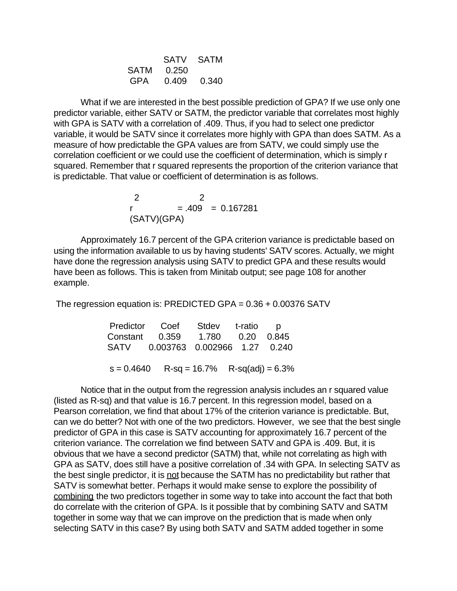|            | SATV SATM         |
|------------|-------------------|
| SATM 0.250 |                   |
|            | GPA  0.409  0.340 |

 What if we are interested in the best possible prediction of GPA? If we use only one predictor variable, either SATV or SATM, the predictor variable that correlates most highly with GPA is SATV with a correlation of .409. Thus, if you had to select one predictor variable, it would be SATV since it correlates more highly with GPA than does SATM. As a measure of how predictable the GPA values are from SATV, we could simply use the correlation coefficient or we could use the coefficient of determination, which is simply r squared. Remember that r squared represents the proportion of the criterion variance that is predictable. That value or coefficient of determination is as follows.

 2 2  $r = .409 = 0.167281$ (SATV)(GPA)

Approximately 16.7 percent of the GPA criterion variance is predictable based on using the information available to us by having students' SATV scores. Actually, we might have done the regression analysis using SATV to predict GPA and these results would have been as follows. This is taken from Minitab output; see page 108 for another example.

The regression equation is: PREDICTED GPA = 0.36 + 0.00376 SATV

|  | Predictor Coef Stdev t-ratio p             |  |
|--|--------------------------------------------|--|
|  | Constant 0.359 1.780 0.20 0.845            |  |
|  | SATV 0.003763 0.002966 1.27 0.240          |  |
|  |                                            |  |
|  | $s = 0.4640$ R-sq = 16.7% R-sq(adj) = 6.3% |  |

Notice that in the output from the regression analysis includes an r squared value (listed as R-sq) and that value is 16.7 percent. In this regression model, based on a Pearson correlation, we find that about 17% of the criterion variance is predictable. But, can we do better? Not with one of the two predictors. However, we see that the best single predictor of GPA in this case is SATV accounting for approximately 16.7 percent of the criterion variance. The correlation we find between SATV and GPA is .409. But, it is obvious that we have a second predictor (SATM) that, while not correlating as high with GPA as SATV, does still have a positive correlation of .34 with GPA. In selecting SATV as the best single predictor, it is not because the SATM has no predictability but rather that SATV is somewhat better. Perhaps it would make sense to explore the possibility of combining the two predictors together in some way to take into account the fact that both do correlate with the criterion of GPA. Is it possible that by combining SATV and SATM together in some way that we can improve on the prediction that is made when only selecting SATV in this case? By using both SATV and SATM added together in some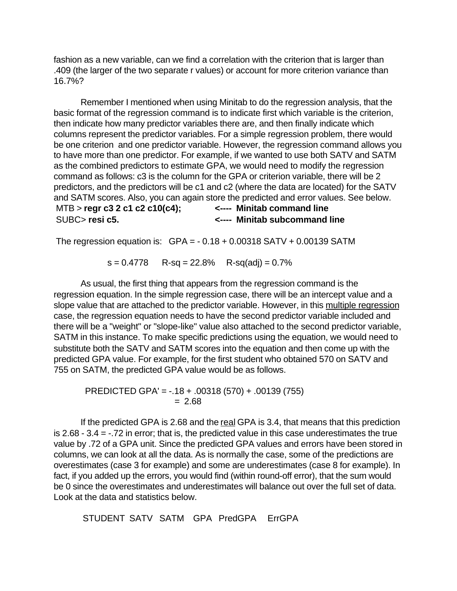fashion as a new variable, can we find a correlation with the criterion that is larger than .409 (the larger of the two separate r values) or account for more criterion variance than 16.7%?

Remember I mentioned when using Minitab to do the regression analysis, that the basic format of the regression command is to indicate first which variable is the criterion, then indicate how many predictor variables there are, and then finally indicate which columns represent the predictor variables. For a simple regression problem, there would be one criterion and one predictor variable. However, the regression command allows you to have more than one predictor. For example, if we wanted to use both SATV and SATM as the combined predictors to estimate GPA, we would need to modify the regression command as follows: c3 is the column for the GPA or criterion variable, there will be 2 predictors, and the predictors will be c1 and c2 (where the data are located) for the SATV and SATM scores. Also, you can again store the predicted and error values. See below. MTB > **regr c3 2 c1 c2 c10(c4); <---- Minitab command line** SUBC> **resi c5. <---- Minitab subcommand line**

The regression equation is:  $GPA = -0.18 + 0.00318 SATV + 0.00139 SATM$ 

 $s = 0.4778$  R-sq = 22.8% R-sq(adj) = 0.7%

As usual, the first thing that appears from the regression command is the regression equation. In the simple regression case, there will be an intercept value and a slope value that are attached to the predictor variable. However, in this multiple regression case, the regression equation needs to have the second predictor variable included and there will be a "weight" or "slope-like" value also attached to the second predictor variable, SATM in this instance. To make specific predictions using the equation, we would need to substitute both the SATV and SATM scores into the equation and then come up with the predicted GPA value. For example, for the first student who obtained 570 on SATV and 755 on SATM, the predicted GPA value would be as follows.

 PREDICTED GPA' = -.18 + .00318 (570) + .00139 (755)  $= 2.68$ 

If the predicted GPA is 2.68 and the real GPA is 3.4, that means that this prediction is 2.68 - 3.4 = -.72 in error; that is, the predicted value in this case underestimates the true value by .72 of a GPA unit. Since the predicted GPA values and errors have been stored in columns, we can look at all the data. As is normally the case, some of the predictions are overestimates (case 3 for example) and some are underestimates (case 8 for example). In fact, if you added up the errors, you would find (within round-off error), that the sum would be 0 since the overestimates and underestimates will balance out over the full set of data. Look at the data and statistics below.

STUDENT SATV SATM GPA PredGPA ErrGPA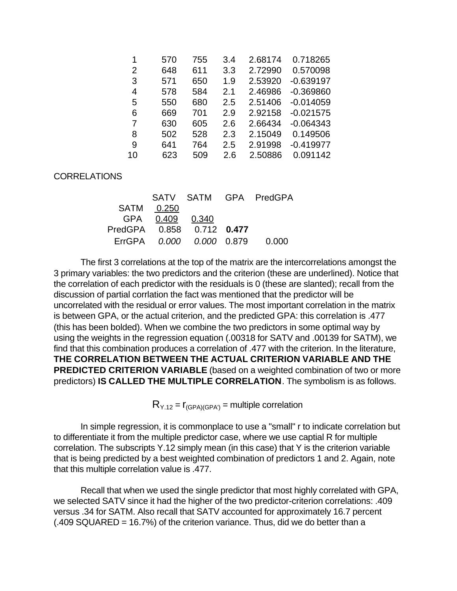| 1  | 570 | 755 | 3.4 | 2.68174 | 0.718265    |
|----|-----|-----|-----|---------|-------------|
| 2  | 648 | 611 | 3.3 | 2.72990 | 0.570098    |
| 3  | 571 | 650 | 1.9 | 2.53920 | $-0.639197$ |
| 4  | 578 | 584 | 2.1 | 2.46986 | $-0.369860$ |
| 5  | 550 | 680 | 2.5 | 2.51406 | $-0.014059$ |
| 6  | 669 | 701 | 2.9 | 2.92158 | $-0.021575$ |
| 7  | 630 | 605 | 2.6 | 2.66434 | $-0.064343$ |
| 8  | 502 | 528 | 2.3 | 2.15049 | 0.149506    |
| 9  | 641 | 764 | 2.5 | 2.91998 | $-0.419977$ |
| 10 | 623 | 509 | 2.6 | 2.50886 | 0.091142    |

## CORRELATIONS

|                              |                   |                                | SATV SATM GPA PredGPA |
|------------------------------|-------------------|--------------------------------|-----------------------|
|                              | SATM 0.250        |                                |                       |
|                              | GPA  0.409  0.340 |                                |                       |
| PredGPA  0.858  0.712  0.477 |                   |                                |                       |
|                              |                   | ErrGPA 0.000 0.000 0.879 0.000 |                       |

The first 3 correlations at the top of the matrix are the intercorrelations amongst the 3 primary variables: the two predictors and the criterion (these are underlined). Notice that the correlation of each predictor with the residuals is 0 (these are slanted); recall from the discussion of partial corrlation the fact was mentioned that the predictor will be uncorrelated with the residual or error values. The most important correlation in the matrix is between GPA, or the actual criterion, and the predicted GPA: this correlation is .477 (this has been bolded). When we combine the two predictors in some optimal way by using the weights in the regression equation (.00318 for SATV and .00139 for SATM), we find that this combination produces a correlation of .477 with the criterion. In the literature, **THE CORRELATION BETWEEN THE ACTUAL CRITERION VARIABLE AND THE PREDICTED CRITERION VARIABLE** (based on a weighted combination of two or more predictors) **IS CALLED THE MULTIPLE CORRELATION**. The symbolism is as follows.

 $R_{Y.12} = r_{(GPA)(GPA')}$  = multiple correlation

In simple regression, it is commonplace to use a "small" r to indicate correlation but to differentiate it from the multiple predictor case, where we use captial R for multiple correlation. The subscripts Y.12 simply mean (in this case) that Y is the criterion variable that is being predicted by a best weighted combination of predictors 1 and 2. Again, note that this multiple correlation value is .477.

Recall that when we used the single predictor that most highly correlated with GPA, we selected SATV since it had the higher of the two predictor-criterion correlations: .409 versus .34 for SATM. Also recall that SATV accounted for approximately 16.7 percent (.409 SQUARED = 16.7%) of the criterion variance. Thus, did we do better than a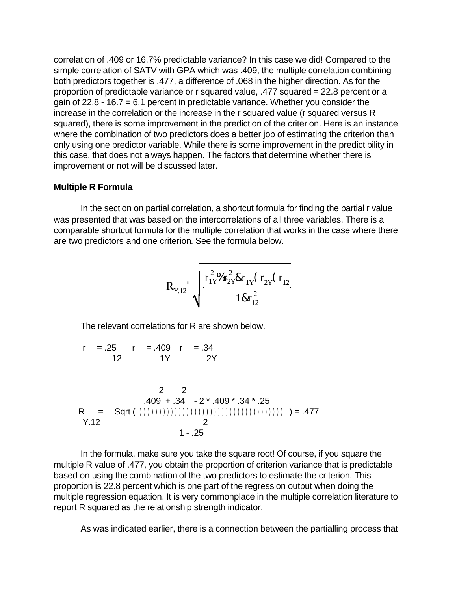correlation of .409 or 16.7% predictable variance? In this case we did! Compared to the simple correlation of SATV with GPA which was .409, the multiple correlation combining both predictors together is .477, a difference of .068 in the higher direction. As for the proportion of predictable variance or r squared value, .477 squared = 22.8 percent or a gain of 22.8 - 16.7 = 6.1 percent in predictable variance. Whether you consider the increase in the correlation or the increase in the r squared value (r squared versus R squared), there is some improvement in the prediction of the criterion. Here is an instance where the combination of two predictors does a better job of estimating the criterion than only using one predictor variable. While there is some improvement in the predictibility in this case, that does not always happen. The factors that determine whether there is improvement or not will be discussed later.

## **Multiple R Formula**

In the section on partial correlation, a shortcut formula for finding the partial r value was presented that was based on the intercorrelations of all three variables. There is a comparable shortcut formula for the multiple correlation that works in the case where there are two predictors and one criterion. See the formula below.

RY.12' r 2 1Y%r 2 2Y&r 1Y (r 2Y (r 12 1&r 2 12

The relevant correlations for R are shown below.

$$
r = .25 \t r = .409 \t r = .34
$$
  
12 \t 1Y \t 2Y

$$
2 2
$$
  
.409 + .34 - 2 \* .409 \* .34 \* .25  
R = Sqrt( )))))))))))))))))))))))))))))))))))))))))))))))))))))))))))))))))))))))))))))))))))

 In the formula, make sure you take the square root! Of course, if you square the multiple R value of .477, you obtain the proportion of criterion variance that is predictable based on using the combination of the two predictors to estimate the criterion. This proportion is 22.8 percent which is one part of the regression output when doing the multiple regression equation. It is very commonplace in the multiple correlation literature to report R squared as the relationship strength indicator.

As was indicated earlier, there is a connection between the partialling process that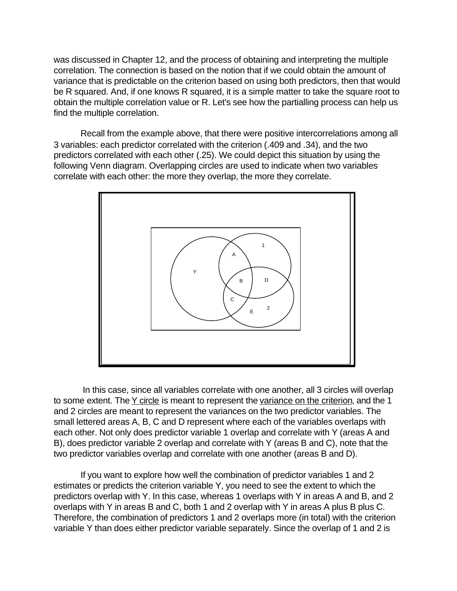was discussed in Chapter 12, and the process of obtaining and interpreting the multiple correlation. The connection is based on the notion that if we could obtain the amount of variance that is predictable on the criterion based on using both predictors, then that would be R squared. And, if one knows R squared, it is a simple matter to take the square root to obtain the multiple correlation value or R. Let's see how the partialling process can help us find the multiple correlation.

Recall from the example above, that there were positive intercorrelations among all 3 variables: each predictor correlated with the criterion (.409 and .34), and the two predictors correlated with each other (.25). We could depict this situation by using the following Venn diagram. Overlapping circles are used to indicate when two variables correlate with each other: the more they overlap, the more they correlate.



 In this case, since all variables correlate with one another, all 3 circles will overlap to some extent. The Y circle is meant to represent the variance on the criterion, and the 1 and 2 circles are meant to represent the variances on the two predictor variables. The small lettered areas A, B, C and D represent where each of the variables overlaps with each other. Not only does predictor variable 1 overlap and correlate with Y (areas A and B), does predictor variable 2 overlap and correlate with Y (areas B and C), note that the two predictor variables overlap and correlate with one another (areas B and D).

If you want to explore how well the combination of predictor variables 1 and 2 estimates or predicts the criterion variable Y, you need to see the extent to which the predictors overlap with Y. In this case, whereas 1 overlaps with Y in areas A and B, and 2 overlaps with Y in areas B and C, both 1 and 2 overlap with Y in areas A plus B plus C. Therefore, the combination of predictors 1 and 2 overlaps more (in total) with the criterion variable Y than does either predictor variable separately. Since the overlap of 1 and 2 is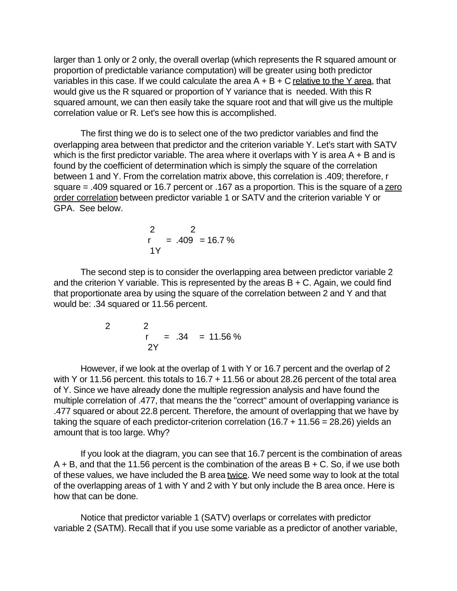larger than 1 only or 2 only, the overall overlap (which represents the R squared amount or proportion of predictable variance computation) will be greater using both predictor variables in this case. If we could calculate the area  $A + B + C$  relative to the Y area, that would give us the R squared or proportion of Y variance that is needed. With this R squared amount, we can then easily take the square root and that will give us the multiple correlation value or R. Let's see how this is accomplished.

The first thing we do is to select one of the two predictor variables and find the overlapping area between that predictor and the criterion variable Y. Let's start with SATV which is the first predictor variable. The area where it overlaps with Y is area  $A + B$  and is found by the coefficient of determination which is simply the square of the correlation between 1 and Y. From the correlation matrix above, this correlation is .409; therefore, r square = .409 squared or 16.7 percent or .167 as a proportion. This is the square of a zero order correlation between predictor variable 1 or SATV and the criterion variable Y or GPA. See below.

$$
\begin{array}{rcl} 2 & 2 \\ r & = .409 & = 16.7 \% \end{array}
$$

The second step is to consider the overlapping area between predictor variable 2 and the criterion Y variable. This is represented by the areas  $B + C$ . Again, we could find that proportionate area by using the square of the correlation between 2 and Y and that would be: .34 squared or 11.56 percent.

$$
2 \t 2 \t r = .34 = 11.56\%
$$
  
2Y

However, if we look at the overlap of 1 with Y or 16.7 percent and the overlap of 2 with Y or 11.56 percent. this totals to 16.7 + 11.56 or about 28.26 percent of the total area of Y. Since we have already done the multiple regression analysis and have found the multiple correlation of .477, that means the the "correct" amount of overlapping variance is .477 squared or about 22.8 percent. Therefore, the amount of overlapping that we have by taking the square of each predictor-criterion correlation (16.7 + 11.56 = 28.26) yields an amount that is too large. Why?

If you look at the diagram, you can see that 16.7 percent is the combination of areas  $A + B$ , and that the 11.56 percent is the combination of the areas  $B + C$ . So, if we use both of these values, we have included the B area twice. We need some way to look at the total of the overlapping areas of 1 with Y and 2 with Y but only include the B area once. Here is how that can be done.

Notice that predictor variable 1 (SATV) overlaps or correlates with predictor variable 2 (SATM). Recall that if you use some variable as a predictor of another variable,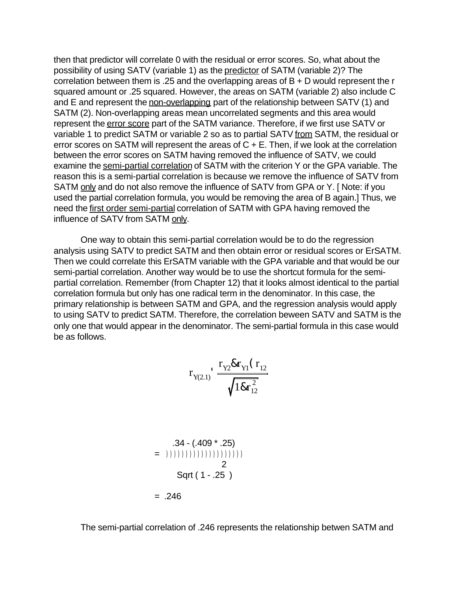then that predictor will correlate 0 with the residual or error scores. So, what about the possibility of using SATV (variable 1) as the predictor of SATM (variable 2)? The correlation between them is .25 and the overlapping areas of B + D would represent the r squared amount or .25 squared. However, the areas on SATM (variable 2) also include C and E and represent the non-overlapping part of the relationship between SATV (1) and SATM (2). Non-overlapping areas mean uncorrelated segments and this area would represent the error score part of the SATM variance. Therefore, if we first use SATV or variable 1 to predict SATM or variable 2 so as to partial SATV from SATM, the residual or error scores on SATM will represent the areas of  $C + E$ . Then, if we look at the correlation between the error scores on SATM having removed the influence of SATV, we could examine the semi-partial correlation of SATM with the criterion Y or the GPA variable. The reason this is a semi-partial correlation is because we remove the influence of SATV from SATM only and do not also remove the influence of SATV from GPA or Y. [ Note: if you used the partial correlation formula, you would be removing the area of B again.] Thus, we need the first order semi-partial correlation of SATM with GPA having removed the influence of SATV from SATM only.

One way to obtain this semi-partial correlation would be to do the regression analysis using SATV to predict SATM and then obtain error or residual scores or ErSATM. Then we could correlate this ErSATM variable with the GPA variable and that would be our semi-partial correlation. Another way would be to use the shortcut formula for the semipartial correlation. Remember (from Chapter 12) that it looks almost identical to the partial correlation formula but only has one radical term in the denominator. In this case, the primary relationship is between SATM and GPA, and the regression analysis would apply to using SATV to predict SATM. Therefore, the correlation beween SATV and SATM is the only one that would appear in the denominator. The semi-partial formula in this case would be as follows.

$$
r_{Y(2.1)} \frac{r_{Y2} \& r_{Y1} (r_{12})}{\sqrt{18r_{12}^2}}
$$

$$
.34 - (.409 * .25)
$$
  
= 1) (1) (1) (1) (1) (1) (1) (1) (1) (1) (2)  
Set (1 - .25 )  
= .246

The semi-partial correlation of .246 represents the relationship betwen SATM and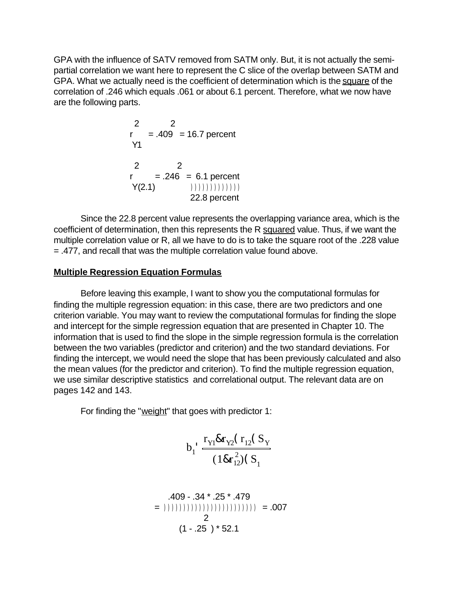GPA with the influence of SATV removed from SATM only. But, it is not actually the semipartial correlation we want here to represent the C slice of the overlap between SATM and GPA. What we actually need is the coefficient of determination which is the square of the correlation of .246 which equals .061 or about 6.1 percent. Therefore, what we now have are the following parts.

$$
2 = .409 = 16.7 \text{ percent}
$$
  
\n
$$
Y1 = .246 = 6.1 \text{ percent}
$$
  
\n
$$
Y(2.1) = \frac{246}{7} = 0.1 \text{ percent}
$$
  
\n
$$
Y(2.1) = \frac{246}{7} = 0.1 \text{ percent}
$$
  
\n
$$
Y(2.2) = \frac{22.8 \text{ percent}}{22.8 \text{ percent}}
$$

Since the 22.8 percent value represents the overlapping variance area, which is the coefficient of determination, then this represents the R squared value. Thus, if we want the multiple correlation value or R, all we have to do is to take the square root of the .228 value = .477, and recall that was the multiple correlation value found above.

### **Multiple Regression Equation Formulas**

Before leaving this example, I want to show you the computational formulas for finding the multiple regression equation: in this case, there are two predictors and one criterion variable. You may want to review the computational formulas for finding the slope and intercept for the simple regression equation that are presented in Chapter 10. The information that is used to find the slope in the simple regression formula is the correlation between the two variables (predictor and criterion) and the two standard deviations. For finding the intercept, we would need the slope that has been previously calculated and also the mean values (for the predictor and criterion). To find the multiple regression equation, we use similar descriptive statistics and correlational output. The relevant data are on pages 142 and 143.

For finding the "weight" that goes with predictor 1:

$$
b_1 \cdot \frac{r_{Y1} \& r_{Y2} (r_{12} (S_Y) \& (1 \& r_{12}^2) (S_Y) \& (1 \& r_{12}^2) (S_Y)}
$$

 .409 - .34 \* .25 \* .479 = )))))))))))))))))))))))) = .007 2 (1 - .25 ) \* 52.1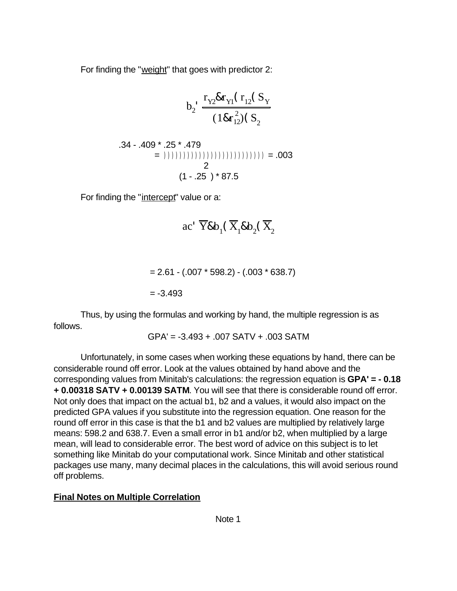For finding the "weight" that goes with predictor 2:

$$
b_2 \frac{r_{Y2} \& r_{Y1} (r_{12} (S_Y) (1 \& r_{12}^2) (S_Y) (1 \& r_{12}^2) (S_2)}
$$

$$
.34 - .409 * .25 * .479
$$
  
= (1(1(1(1(1)))(1)))(1(1)))(1(1)) (2)  
2  
(1 - .25) \* 87.5

For finding the "intercept" value or a:

ac' 
$$
\overline{Y} \& b_1(\overline{X}_1 \& b_2(\overline{X}_2
$$

$$
= 2.61 - (.007 * 598.2) - (.003 * 638.7)
$$

$$
= -3.493
$$

Thus, by using the formulas and working by hand, the multiple regression is as follows.

$$
GPA' = -3.493 + .007 SATV + .003 SATM
$$

Unfortunately, in some cases when working these equations by hand, there can be considerable round off error. Look at the values obtained by hand above and the corresponding values from Minitab's calculations: the regression equation is **GPA' = - 0.18 + 0.00318 SATV + 0.00139 SATM**. You will see that there is considerable round off error. Not only does that impact on the actual b1, b2 and a values, it would also impact on the predicted GPA values if you substitute into the regression equation. One reason for the round off error in this case is that the b1 and b2 values are multiplied by relatively large means: 598.2 and 638.7. Even a small error in b1 and/or b2, when multiplied by a large mean, will lead to considerable error. The best word of advice on this subject is to let something like Minitab do your computational work. Since Minitab and other statistical packages use many, many decimal places in the calculations, this will avoid serious round off problems.

# **Final Notes on Multiple Correlation**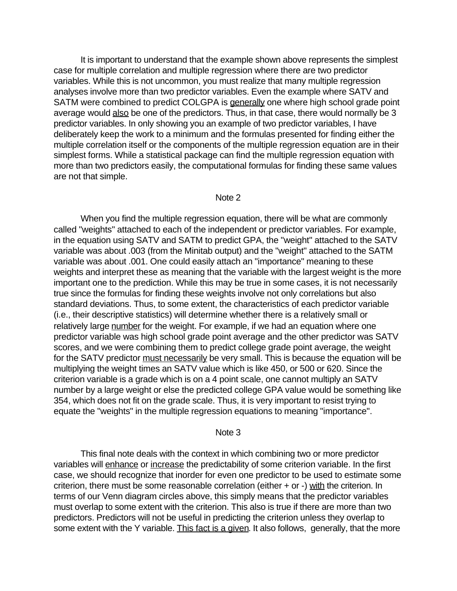It is important to understand that the example shown above represents the simplest case for multiple correlation and multiple regression where there are two predictor variables. While this is not uncommon, you must realize that many multiple regression analyses involve more than two predictor variables. Even the example where SATV and SATM were combined to predict COLGPA is generally one where high school grade point average would also be one of the predictors. Thus, in that case, there would normally be 3 predictor variables. In only showing you an example of two predictor variables, I have deliberately keep the work to a minimum and the formulas presented for finding either the multiple correlation itself or the components of the multiple regression equation are in their simplest forms. While a statistical package can find the multiple regression equation with more than two predictors easily, the computational formulas for finding these same values are not that simple.

#### Note 2

When you find the multiple regression equation, there will be what are commonly called "weights" attached to each of the independent or predictor variables. For example, in the equation using SATV and SATM to predict GPA, the "weight" attached to the SATV variable was about .003 (from the Minitab output) and the "weight" attached to the SATM variable was about .001. One could easily attach an "importance" meaning to these weights and interpret these as meaning that the variable with the largest weight is the more important one to the prediction. While this may be true in some cases, it is not necessarily true since the formulas for finding these weights involve not only correlations but also standard deviations. Thus, to some extent, the characteristics of each predictor variable (i.e., their descriptive statistics) will determine whether there is a relatively small or relatively large number for the weight. For example, if we had an equation where one predictor variable was high school grade point average and the other predictor was SATV scores, and we were combining them to predict college grade point average, the weight for the SATV predictor must necessarily be very small. This is because the equation will be multiplying the weight times an SATV value which is like 450, or 500 or 620. Since the criterion variable is a grade which is on a 4 point scale, one cannot multiply an SATV number by a large weight or else the predicted college GPA value would be something like 354, which does not fit on the grade scale. Thus, it is very important to resist trying to equate the "weights" in the multiple regression equations to meaning "importance".

#### Note 3

This final note deals with the context in which combining two or more predictor variables will enhance or increase the predictability of some criterion variable. In the first case, we should recognize that inorder for even one predictor to be used to estimate some criterion, there must be some reasonable correlation (either  $+$  or  $-$ ) with the criterion. In terms of our Venn diagram circles above, this simply means that the predictor variables must overlap to some extent with the criterion. This also is true if there are more than two predictors. Predictors will not be useful in predicting the criterion unless they overlap to some extent with the Y variable. This fact is a given. It also follows, generally, that the more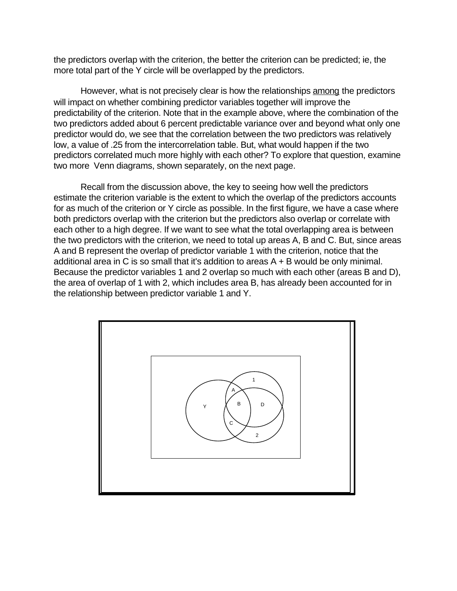the predictors overlap with the criterion, the better the criterion can be predicted; ie, the more total part of the Y circle will be overlapped by the predictors.

However, what is not precisely clear is how the relationships among the predictors will impact on whether combining predictor variables together will improve the predictability of the criterion. Note that in the example above, where the combination of the two predictors added about 6 percent predictable variance over and beyond what only one predictor would do, we see that the correlation between the two predictors was relatively low, a value of .25 from the intercorrelation table. But, what would happen if the two predictors correlated much more highly with each other? To explore that question, examine two more Venn diagrams, shown separately, on the next page.

Recall from the discussion above, the key to seeing how well the predictors estimate the criterion variable is the extent to which the overlap of the predictors accounts for as much of the criterion or Y circle as possible. In the first figure, we have a case where both predictors overlap with the criterion but the predictors also overlap or correlate with each other to a high degree. If we want to see what the total overlapping area is between the two predictors with the criterion, we need to total up areas A, B and C. But, since areas A and B represent the overlap of predictor variable 1 with the criterion, notice that the additional area in C is so small that it's addition to areas A + B would be only minimal. Because the predictor variables 1 and 2 overlap so much with each other (areas B and D), the area of overlap of 1 with 2, which includes area B, has already been accounted for in the relationship between predictor variable 1 and Y.

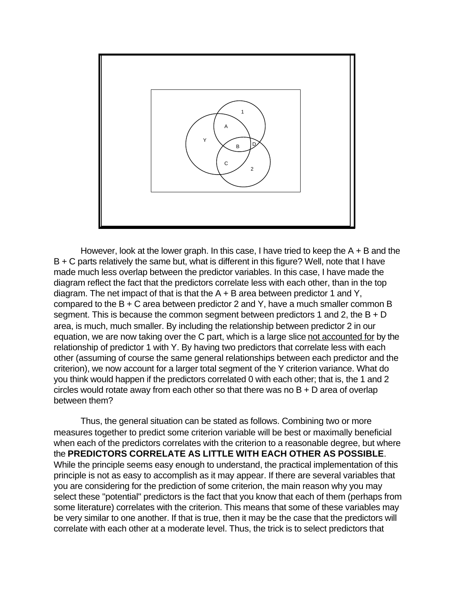

However, look at the lower graph. In this case, I have tried to keep the  $A + B$  and the B + C parts relatively the same but, what is different in this figure? Well, note that I have made much less overlap between the predictor variables. In this case, I have made the diagram reflect the fact that the predictors correlate less with each other, than in the top diagram. The net impact of that is that the  $A + B$  area between predictor 1 and Y, compared to the B + C area between predictor 2 and Y, have a much smaller common B segment. This is because the common segment between predictors 1 and 2, the  $B + D$ area, is much, much smaller. By including the relationship between predictor 2 in our equation, we are now taking over the C part, which is a large slice not accounted for by the relationship of predictor 1 with Y. By having two predictors that correlate less with each other (assuming of course the same general relationships between each predictor and the criterion), we now account for a larger total segment of the Y criterion variance. What do you think would happen if the predictors correlated 0 with each other; that is, the 1 and 2 circles would rotate away from each other so that there was no B + D area of overlap between them?

Thus, the general situation can be stated as follows. Combining two or more measures together to predict some criterion variable will be best or maximally beneficial when each of the predictors correlates with the criterion to a reasonable degree, but where the **PREDICTORS CORRELATE AS LITTLE WITH EACH OTHER AS POSSIBLE**. While the principle seems easy enough to understand, the practical implementation of this principle is not as easy to accomplish as it may appear. If there are several variables that you are considering for the prediction of some criterion, the main reason why you may select these "potential" predictors is the fact that you know that each of them (perhaps from some literature) correlates with the criterion. This means that some of these variables may be very similar to one another. If that is true, then it may be the case that the predictors will correlate with each other at a moderate level. Thus, the trick is to select predictors that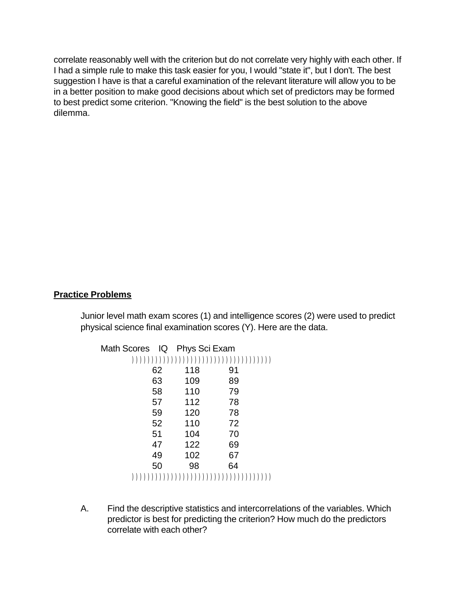correlate reasonably well with the criterion but do not correlate very highly with each other. If I had a simple rule to make this task easier for you, I would "state it", but I don't. The best suggestion I have is that a careful examination of the relevant literature will allow you to be in a better position to make good decisions about which set of predictors may be formed to best predict some criterion. "Knowing the field" is the best solution to the above dilemma.

# **Practice Problems**

Junior level math exam scores (1) and intelligence scores (2) were used to predict physical science final examination scores (Y). Here are the data.

| Math Scores IQ Phys Sci Exam |    |     |    |  |
|------------------------------|----|-----|----|--|
|                              |    |     |    |  |
|                              | 62 | 118 | 91 |  |
|                              | 63 | 109 | 89 |  |
|                              | 58 | 110 | 79 |  |
|                              | 57 | 112 | 78 |  |
|                              | 59 | 120 | 78 |  |
|                              | 52 | 110 | 72 |  |
|                              | 51 | 104 | 70 |  |
|                              | 47 | 122 | 69 |  |
|                              | 49 | 102 | 67 |  |
|                              | 50 | 98  | 64 |  |
|                              |    |     |    |  |

A. Find the descriptive statistics and intercorrelations of the variables. Which predictor is best for predicting the criterion? How much do the predictors correlate with each other?